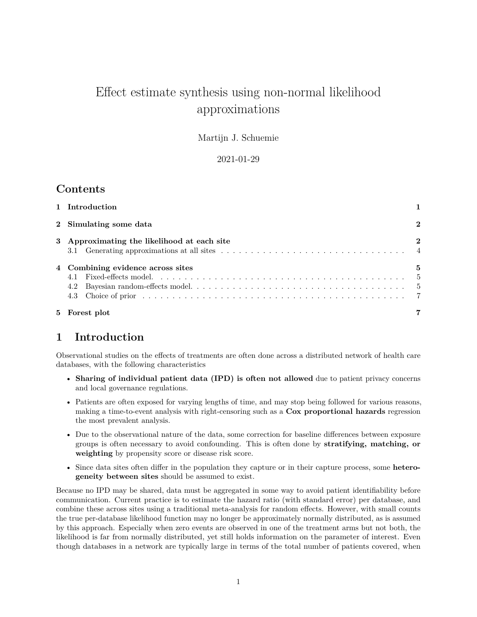# Effect estimate synthesis using non-normal likelihood approximations

Martijn J. Schuemie

2021-01-29

## **Contents**

| 5 Forest plot                               |             |
|---------------------------------------------|-------------|
| 4.2<br>4.3                                  |             |
| 4 Combining evidence across sites           | 5<br>- 5    |
| 3 Approximating the likelihood at each site | $\bf{2}$    |
| 2 Simulating some data                      | $\mathbf 2$ |
| 1 Introduction                              |             |

## <span id="page-0-0"></span>**1 Introduction**

Observational studies on the effects of treatments are often done across a distributed network of health care databases, with the following characteristics

- **Sharing of individual patient data (IPD) is often not allowed** due to patient privacy concerns and local governance regulations.
- Patients are often exposed for varying lengths of time, and may stop being followed for various reasons, making a time-to-event analysis with right-censoring such as a **Cox proportional hazards** regression the most prevalent analysis.
- Due to the observational nature of the data, some correction for baseline differences between exposure groups is often necessary to avoid confounding. This is often done by **stratifying, matching, or weighting** by propensity score or disease risk score.
- Since data sites often differ in the population they capture or in their capture process, some **heterogeneity between sites** should be assumed to exist.

Because no IPD may be shared, data must be aggregated in some way to avoid patient identifiability before communication. Current practice is to estimate the hazard ratio (with standard error) per database, and combine these across sites using a traditional meta-analysis for random effects. However, with small counts the true per-database likelihood function may no longer be approximately normally distributed, as is assumed by this approach. Especially when zero events are observed in one of the treatment arms but not both, the likelihood is far from normally distributed, yet still holds information on the parameter of interest. Even though databases in a network are typically large in terms of the total number of patients covered, when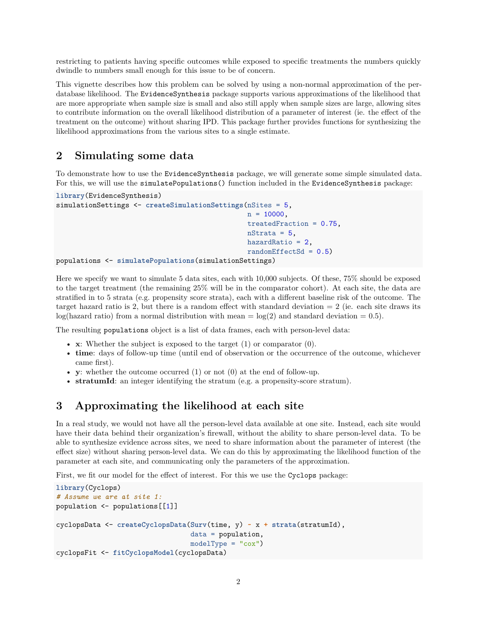restricting to patients having specific outcomes while exposed to specific treatments the numbers quickly dwindle to numbers small enough for this issue to be of concern.

This vignette describes how this problem can be solved by using a non-normal approximation of the perdatabase likelihood. The EvidenceSynthesis package supports various approximations of the likelihood that are more appropriate when sample size is small and also still apply when sample sizes are large, allowing sites to contribute information on the overall likelihood distribution of a parameter of interest (ie. the effect of the treatment on the outcome) without sharing IPD. This package further provides functions for synthesizing the likelihood approximations from the various sites to a single estimate.

## <span id="page-1-0"></span>**2 Simulating some data**

To demonstrate how to use the EvidenceSynthesis package, we will generate some simple simulated data. For this, we will use the simulatePopulations() function included in the EvidenceSynthesis package:

```
library(EvidenceSynthesis)
simulationSettings <- createSimulationSettings(nSites = 5,
                                               n = 10000,treatedFraction = 0.75,
                                               nStrata = 5,
                                               hazardRatio = 2,
                                               randomEffectSd = 0.5)populations <- simulatePopulations(simulationSettings)
```
Here we specify we want to simulate 5 data sites, each with 10,000 subjects. Of these, 75% should be exposed to the target treatment (the remaining 25% will be in the comparator cohort). At each site, the data are stratified in to 5 strata (e.g. propensity score strata), each with a different baseline risk of the outcome. The target hazard ratio is 2, but there is a random effect with standard deviation  $= 2$  (ie. each site draws its log(hazard ratio) from a normal distribution with mean =  $log(2)$  and standard deviation = 0.5).

The resulting populations object is a list of data frames, each with person-level data:

- **x**: Whether the subject is exposed to the target (1) or comparator (0).
- **time**: days of follow-up time (until end of observation or the occurrence of the outcome, whichever came first).
- **y**: whether the outcome occurred (1) or not (0) at the end of follow-up.
- **stratumId**: an integer identifying the stratum (e.g. a propensity-score stratum).

## <span id="page-1-1"></span>**3 Approximating the likelihood at each site**

In a real study, we would not have all the person-level data available at one site. Instead, each site would have their data behind their organization's firewall, without the ability to share person-level data. To be able to synthesize evidence across sites, we need to share information about the parameter of interest (the effect size) without sharing person-level data. We can do this by approximating the likelihood function of the parameter at each site, and communicating only the parameters of the approximation.

First, we fit our model for the effect of interest. For this we use the Cyclops package:

```
library(Cyclops)
# Assume we are at site 1:
population <- populations[[1]]
cyclopsData <- createCyclopsData(Surv(time, y) ~ x + strata(stratumId),
                                 data = population,
                                 modelType = "cox")cyclopsFit <- fitCyclopsModel(cyclopsData)
```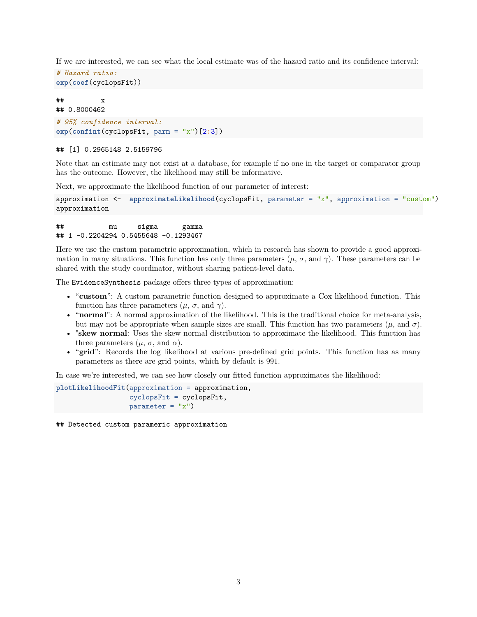If we are interested, we can see what the local estimate was of the hazard ratio and its confidence interval:

```
# Hazard ratio:
exp(coef(cyclopsFit))
```
## x ## 0.8000462

```
# 95% confidence interval:
exp(confint(cyclopsFit, parm = "x")[2:3])
```
#### ## [1] 0.2965148 2.5159796

Note that an estimate may not exist at a database, for example if no one in the target or comparator group has the outcome. However, the likelihood may still be informative.

Next, we approximate the likelihood function of our parameter of interest:

```
approximation <- approximateLikelihood(cyclopsFit, parameter = "x", approximation = "custom")
approximation
```
## mu sigma gamma ## 1 -0.2204294 0.5455648 -0.1293467

Here we use the custom parametric approximation, which in research has shown to provide a good approximation in many situations. This function has only three parameters  $(\mu, \sigma, \text{ and } \gamma)$ . These parameters can be shared with the study coordinator, without sharing patient-level data.

The EvidenceSynthesis package offers three types of approximation:

- "**custom**": A custom parametric function designed to approximate a Cox likelihood function. This function has three parameters  $(\mu, \sigma, \text{ and } \gamma)$ .
- "**normal**": A normal approximation of the likelihood. This is the traditional choice for meta-analysis, but may not be appropriate when sample sizes are small. This function has two parameters  $(\mu, \text{ and } \sigma)$ .
- "**skew normal**: Uses the skew normal distribution to approximate the likelihood. This function has three parameters  $(\mu, \sigma, \text{and } \alpha)$ .
- "**grid**": Records the log likelihood at various pre-defined grid points. This function has as many parameters as there are grid points, which by default is 991.

In case we're interested, we can see how closely our fitted function approximates the likelihood:

```
plotLikelihoodFit(approximation = approximation,
                  cyclopsFit = cyclopsFit,
                  parameter = "x")
```
## Detected custom parameric approximation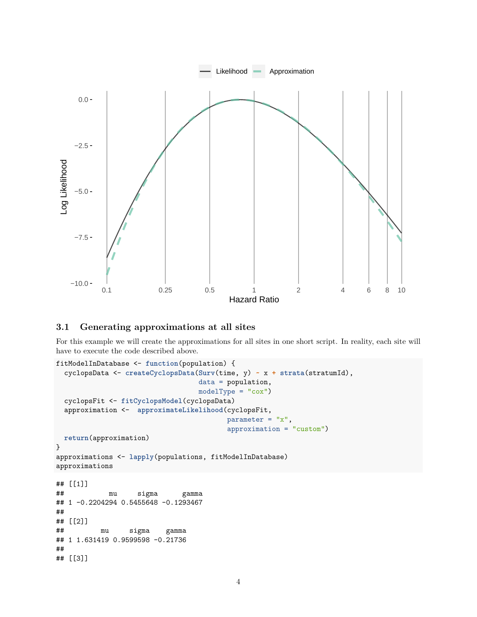

#### <span id="page-3-0"></span>**3.1 Generating approximations at all sites**

For this example we will create the approximations for all sites in one short script. In reality, each site will have to execute the code described above.

```
fitModelInDatabase <- function(population) {
  cyclopsData <- createCyclopsData(Surv(time, y) ~ x + strata(stratumId),
                                 data = population,
                                 modelType = "cox")
  cyclopsFit <- fitCyclopsModel(cyclopsData)
  approximation <- approximateLikelihood(cyclopsFit,
                                        parameter = "x",approximation = "custom")
 return(approximation)
}
approximations <- lapply(populations, fitModelInDatabase)
approximations
## [[1]]
## mu sigma gamma
## 1 -0.2204294 0.5455648 -0.1293467
##
## [[2]]
## mu sigma gamma
## 1 1.631419 0.9599598 -0.21736
##
## [[3]]
```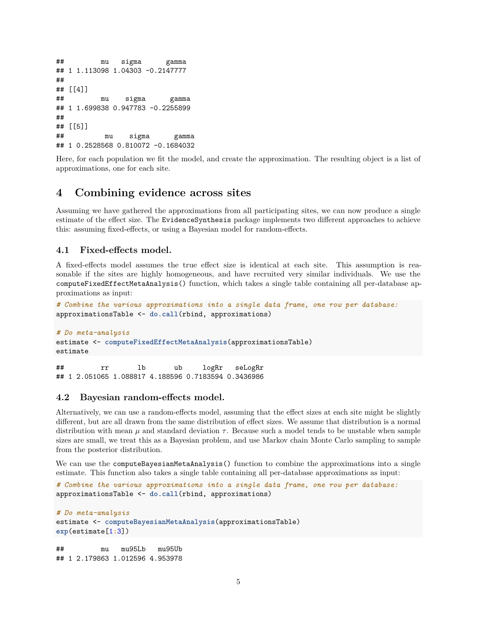```
## mu sigma gamma
## 1 1.113098 1.04303 -0.2147777
##
## [[4]]
## mu sigma gamma
## 1 1.699838 0.947783 -0.2255899
##
## [[5]]
## mu sigma gamma
## 1 0.2528568 0.810072 -0.1684032
```
Here, for each population we fit the model, and create the approximation. The resulting object is a list of approximations, one for each site.

### <span id="page-4-0"></span>**4 Combining evidence across sites**

Assuming we have gathered the approximations from all participating sites, we can now produce a single estimate of the effect size. The EvidenceSynthesis package implements two different approaches to achieve this: assuming fixed-effects, or using a Bayesian model for random-effects.

#### <span id="page-4-1"></span>**4.1 Fixed-effects model.**

A fixed-effects model assumes the true effect size is identical at each site. This assumption is reasonable if the sites are highly homogeneous, and have recruited very similar individuals. We use the computeFixedEffectMetaAnalysis() function, which takes a single table containing all per-database approximations as input:

```
# Combine the various approximations into a single data frame, one row per database:
approximationsTable <- do.call(rbind, approximations)
```

```
# Do meta-analysis
estimate <- computeFixedEffectMetaAnalysis(approximationsTable)
estimate
```
## rr lb ub logRr seLogRr ## 1 2.051065 1.088817 4.188596 0.7183594 0.3436986

#### <span id="page-4-2"></span>**4.2 Bayesian random-effects model.**

Alternatively, we can use a random-effects model, assuming that the effect sizes at each site might be slightly different, but are all drawn from the same distribution of effect sizes. We assume that distribution is a normal distribution with mean  $\mu$  and standard deviation  $\tau$ . Because such a model tends to be unstable when sample sizes are small, we treat this as a Bayesian problem, and use Markov chain Monte Carlo sampling to sample from the posterior distribution.

We can use the computeBayesianMetaAnalysis() function to combine the approximations into a single estimate. This function also takes a single table containing all per-database approximations as input:

```
# Combine the various approximations into a single data frame, one row per database:
approximationsTable <- do.call(rbind, approximations)
```

```
# Do meta-analysis
estimate <- computeBayesianMetaAnalysis(approximationsTable)
exp(estimate[1:3])
```
## mu mu95Lb mu95Ub ## 1 2.179863 1.012596 4.953978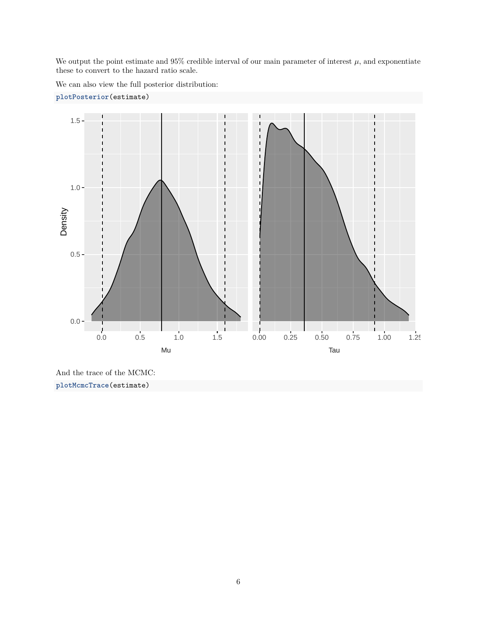We output the point estimate and  $95\%$  credible interval of our main parameter of interest  $\mu$ , and exponentiate these to convert to the hazard ratio scale.

We can also view the full posterior distribution:



**plotPosterior**(estimate)

And the trace of the MCMC: **plotMcmcTrace**(estimate)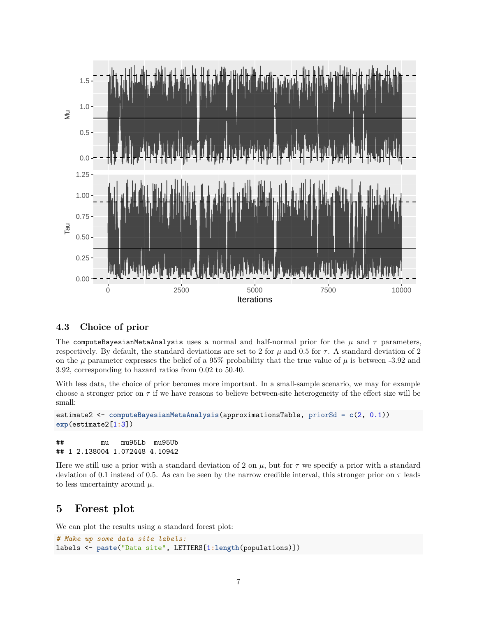

#### <span id="page-6-0"></span>**4.3 Choice of prior**

The computeBayesianMetaAnalysis uses a normal and half-normal prior for the  $\mu$  and  $\tau$  parameters, respectively. By default, the standard deviations are set to 2 for  $\mu$  and 0.5 for  $\tau$ . A standard deviation of 2 on the  $\mu$  parameter expresses the belief of a 95% probability that the true value of  $\mu$  is between -3.92 and 3.92, corresponding to hazard ratios from 0.02 to 50.40.

With less data, the choice of prior becomes more important. In a small-sample scenario, we may for example choose a stronger prior on  $\tau$  if we have reasons to believe between-site heterogeneity of the effect size will be small:

```
estimate2 <- computeBayesianMetaAnalysis(approximationsTable, priorSd = c(2, 0.1))
exp(estimate2[1:3])
```
## mu mu95Lb mu95Ub ## 1 2.138004 1.072448 4.10942

Here we still use a prior with a standard deviation of 2 on  $\mu$ , but for  $\tau$  we specify a prior with a standard deviation of 0.1 instead of 0.5. As can be seen by the narrow credible interval, this stronger prior on  $\tau$  leads to less uncertainty around  $\mu$ .

## <span id="page-6-1"></span>**5 Forest plot**

We can plot the results using a standard forest plot:

```
# Make up some data site labels:
labels <- paste("Data site", LETTERS[1:length(populations)])
```